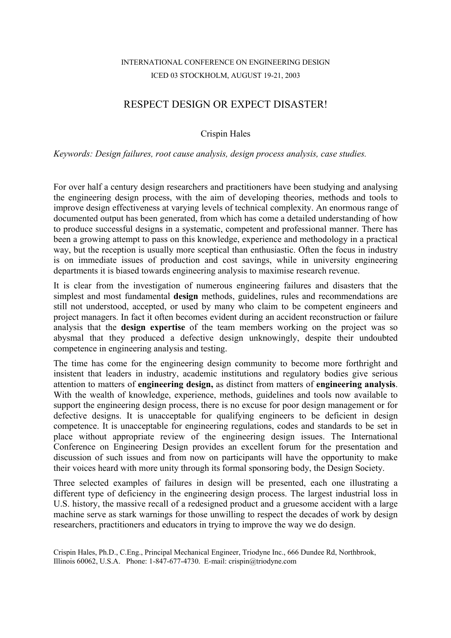## RESPECT DESIGN OR EXPECT DISASTER!

#### Crispin Hales

#### *Keywords: Design failures, root cause analysis, design process analysis, case studies.*

For over half a century design researchers and practitioners have been studying and analysing the engineering design process, with the aim of developing theories, methods and tools to improve design effectiveness at varying levels of technical complexity. An enormous range of documented output has been generated, from which has come a detailed understanding of how to produce successful designs in a systematic, competent and professional manner. There has been a growing attempt to pass on this knowledge, experience and methodology in a practical way, but the reception is usually more sceptical than enthusiastic. Often the focus in industry is on immediate issues of production and cost savings, while in university engineering departments it is biased towards engineering analysis to maximise research revenue.

It is clear from the investigation of numerous engineering failures and disasters that the simplest and most fundamental **design** methods, guidelines, rules and recommendations are still not understood, accepted, or used by many who claim to be competent engineers and project managers. In fact it often becomes evident during an accident reconstruction or failure analysis that the **design expertise** of the team members working on the project was so abysmal that they produced a defective design unknowingly, despite their undoubted competence in engineering analysis and testing.

The time has come for the engineering design community to become more forthright and insistent that leaders in industry, academic institutions and regulatory bodies give serious attention to matters of **engineering design,** as distinct from matters of **engineering analysis**. With the wealth of knowledge, experience, methods, guidelines and tools now available to support the engineering design process, there is no excuse for poor design management or for defective designs. It is unacceptable for qualifying engineers to be deficient in design competence. It is unacceptable for engineering regulations, codes and standards to be set in place without appropriate review of the engineering design issues. The International Conference on Engineering Design provides an excellent forum for the presentation and discussion of such issues and from now on participants will have the opportunity to make their voices heard with more unity through its formal sponsoring body, the Design Society.

Three selected examples of failures in design will be presented, each one illustrating a different type of deficiency in the engineering design process. The largest industrial loss in U.S. history, the massive recall of a redesigned product and a gruesome accident with a large machine serve as stark warnings for those unwilling to respect the decades of work by design researchers, practitioners and educators in trying to improve the way we do design.

Crispin Hales, Ph.D., C.Eng., Principal Mechanical Engineer, Triodyne Inc., 666 Dundee Rd, Northbrook, Illinois 60062, U.S.A. Phone: 1-847-677-4730. E-mail: crispin@triodyne.com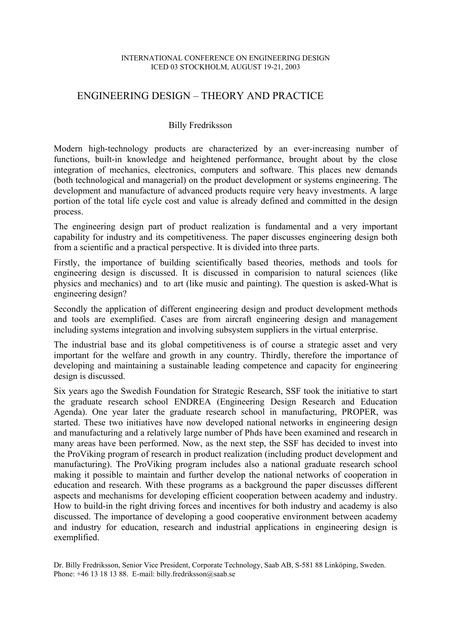### ENGINEERING DESIGN – THEORY AND PRACTICE

#### Billy Fredriksson

Modern high-technology products are characterized by an ever-increasing number of functions, built-in knowledge and heightened performance, brought about by the close integration of mechanics, electronics, computers and software. This places new demands (both technological and managerial) on the product development or systems engineering. The development and manufacture of advanced products require very heavy investments. A large portion of the total life cycle cost and value is already defined and committed in the design process.

The engineering design part of product realization is fundamental and a very important capability for industry and its competitiveness. The paper discusses engineering design both from a scientific and a practical perspective. It is divided into three parts.

Firstly, the importance of building scientifically based theories, methods and tools for engineering design is discussed. It is discussed in comparision to natural sciences (like physics and mechanics) and to art (like music and painting). The question is asked-What is engineering design?

Secondly the application of different engineering design and product development methods and tools are exemplified. Cases are from aircraft engineering design and management including systems integration and involving subsystem suppliers in the virtual enterprise.

The industrial base and its global competitiveness is of course a strategic asset and very important for the welfare and growth in any country. Thirdly, therefore the importance of developing and maintaining a sustainable leading competence and capacity for engineering design is discussed.

Six years ago the Swedish Foundation for Strategic Research, SSF took the initiative to start the graduate research school ENDREA (Engineering Design Research and Education Agenda). One year later the graduate research school in manufacturing, PROPER, was started. These two initiatives have now developed national networks in engineering design and manufacturing and a relatively large number of Phds have been examined and research in many areas have been performed. Now, as the next step, the SSF has decided to invest into the ProViking program of research in product realization (including product development and manufacturing). The ProViking program includes also a national graduate research school making it possible to maintain and further develop the national networks of cooperation in education and research. With these programs as a background the paper discusses different aspects and mechanisms for developing efficient cooperation between academy and industry. How to build-in the right driving forces and incentives for both industry and academy is also discussed. The importance of developing a good cooperative environment between academy and industry for education, research and industrial applications in engineering design is exemplified.

Dr. Billy Fredriksson, Senior Vice President, Corporate Technology, Saab AB, S-581 88 Linköping, Sweden. Phone: +46 13 18 13 88. E-mail: billy.fredriksson@saab.se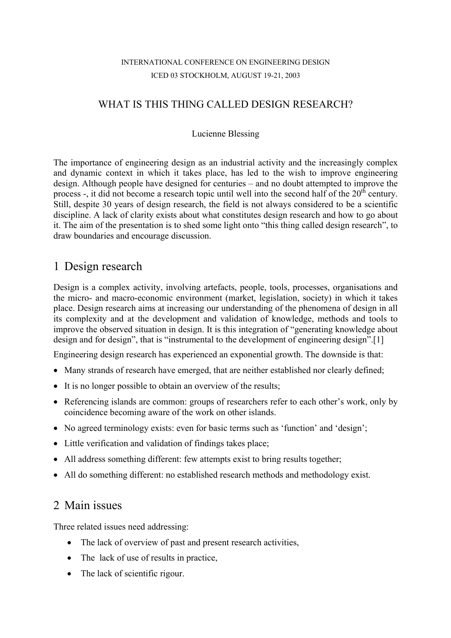## WHAT IS THIS THING CALLED DESIGN RESEARCH?

#### Lucienne Blessing

The importance of engineering design as an industrial activity and the increasingly complex and dynamic context in which it takes place, has led to the wish to improve engineering design. Although people have designed for centuries – and no doubt attempted to improve the process -, it did not become a research topic until well into the second half of the 20<sup>th</sup> century. Still, despite 30 years of design research, the field is not always considered to be a scientific discipline. A lack of clarity exists about what constitutes design research and how to go about it. The aim of the presentation is to shed some light onto "this thing called design research", to draw boundaries and encourage discussion.

## 1 Design research

Design is a complex activity, involving artefacts, people, tools, processes, organisations and the micro- and macro-economic environment (market, legislation, society) in which it takes place. Design research aims at increasing our understanding of the phenomena of design in all its complexity and at the development and validation of knowledge, methods and tools to improve the observed situation in design. It is this integration of "generating knowledge about design and for design", that is "instrumental to the development of engineering design".[1]

Engineering design research has experienced an exponential growth. The downside is that:

- Many strands of research have emerged, that are neither established nor clearly defined;
- It is no longer possible to obtain an overview of the results;
- Referencing islands are common: groups of researchers refer to each other's work, only by coincidence becoming aware of the work on other islands.
- No agreed terminology exists: even for basic terms such as 'function' and 'design';
- Little verification and validation of findings takes place;
- All address something different: few attempts exist to bring results together;
- All do something different: no established research methods and methodology exist.

## 2 Main issues

Three related issues need addressing:

- The lack of overview of past and present research activities,
- The lack of use of results in practice,
- The lack of scientific rigour.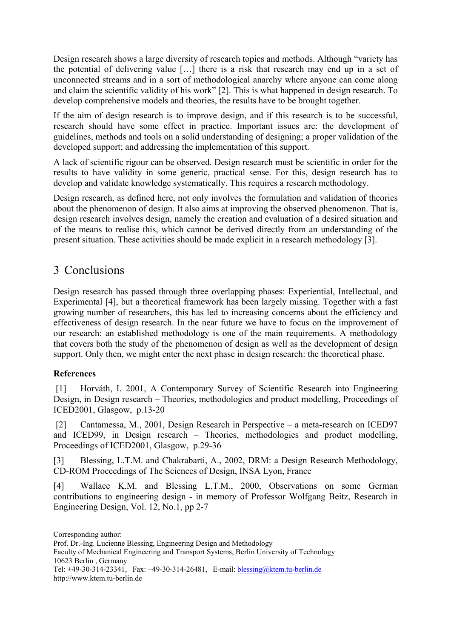Design research shows a large diversity of research topics and methods. Although "variety has the potential of delivering value […] there is a risk that research may end up in a set of unconnected streams and in a sort of methodological anarchy where anyone can come along and claim the scientific validity of his work" [2]. This is what happened in design research. To develop comprehensive models and theories, the results have to be brought together.

If the aim of design research is to improve design, and if this research is to be successful, research should have some effect in practice. Important issues are: the development of guidelines, methods and tools on a solid understanding of designing; a proper validation of the developed support; and addressing the implementation of this support.

A lack of scientific rigour can be observed. Design research must be scientific in order for the results to have validity in some generic, practical sense. For this, design research has to develop and validate knowledge systematically. This requires a research methodology.

Design research, as defined here, not only involves the formulation and validation of theories about the phenomenon of design. It also aims at improving the observed phenomenon. That is, design research involves design, namely the creation and evaluation of a desired situation and of the means to realise this, which cannot be derived directly from an understanding of the present situation. These activities should be made explicit in a research methodology [3].

# 3 Conclusions

Design research has passed through three overlapping phases: Experiential, Intellectual, and Experimental [4], but a theoretical framework has been largely missing. Together with a fast growing number of researchers, this has led to increasing concerns about the efficiency and effectiveness of design research. In the near future we have to focus on the improvement of our research: an established methodology is one of the main requirements. A methodology that covers both the study of the phenomenon of design as well as the development of design support. Only then, we might enter the next phase in design research: the theoretical phase.

### **References**

 [1] Horváth, I. 2001, A Contemporary Survey of Scientific Research into Engineering Design, in Design research – Theories, methodologies and product modelling, Proceedings of ICED2001, Glasgow, p.13-20

 [2] Cantamessa, M., 2001, Design Research in Perspective – a meta-research on ICED97 and ICED99, in Design research – Theories, methodologies and product modelling, Proceedings of ICED2001, Glasgow, p.29-36

[3] Blessing, L.T.M. and Chakrabarti, A., 2002, DRM: a Design Research Methodology, CD-ROM Proceedings of The Sciences of Design, INSA Lyon, France

[4] Wallace K.M. and Blessing L.T.M., 2000, Observations on some German contributions to engineering design - in memory of Professor Wolfgang Beitz, Research in Engineering Design, Vol. 12, No.1, pp 2-7

Corresponding author: Prof. Dr.-Ing. Lucienne Blessing, Engineering Design and Methodology Faculty of Mechanical Engineering and Transport Systems, Berlin University of Technology 10623 Berlin , Germany Tel: +49-30-314-23341, Fax: +49-30-314-26481, E-mail: blessing@ktem.tu-berlin.de http://www.ktem.tu-berlin.de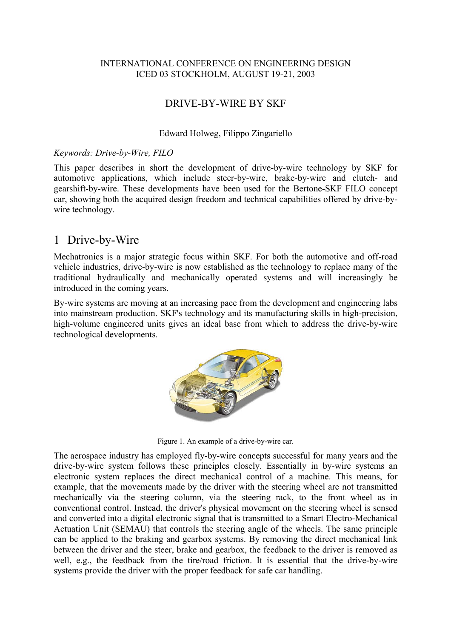### DRIVE-BY-WIRE BY SKF

#### Edward Holweg, Filippo Zingariello

#### *Keywords: Drive-by-Wire, FILO*

This paper describes in short the development of drive-by-wire technology by SKF for automotive applications, which include steer-by-wire, brake-by-wire and clutch- and gearshift-by-wire. These developments have been used for the Bertone-SKF FILO concept car, showing both the acquired design freedom and technical capabilities offered by drive-bywire technology.

## 1 Drive-by-Wire

Mechatronics is a major strategic focus within SKF. For both the automotive and off-road vehicle industries, drive-by-wire is now established as the technology to replace many of the traditional hydraulically and mechanically operated systems and will increasingly be introduced in the coming years.

By-wire systems are moving at an increasing pace from the development and engineering labs into mainstream production. SKF's technology and its manufacturing skills in high-precision, high-volume engineered units gives an ideal base from which to address the drive-by-wire technological developments.



Figure 1. An example of a drive-by-wire car.

The aerospace industry has employed fly-by-wire concepts successful for many years and the drive-by-wire system follows these principles closely. Essentially in by-wire systems an electronic system replaces the direct mechanical control of a machine. This means, for example, that the movements made by the driver with the steering wheel are not transmitted mechanically via the steering column, via the steering rack, to the front wheel as in conventional control. Instead, the driver's physical movement on the steering wheel is sensed and converted into a digital electronic signal that is transmitted to a Smart Electro-Mechanical Actuation Unit (SEMAU) that controls the steering angle of the wheels. The same principle can be applied to the braking and gearbox systems. By removing the direct mechanical link between the driver and the steer, brake and gearbox, the feedback to the driver is removed as well, e.g., the feedback from the tire/road friction. It is essential that the drive-by-wire systems provide the driver with the proper feedback for safe car handling.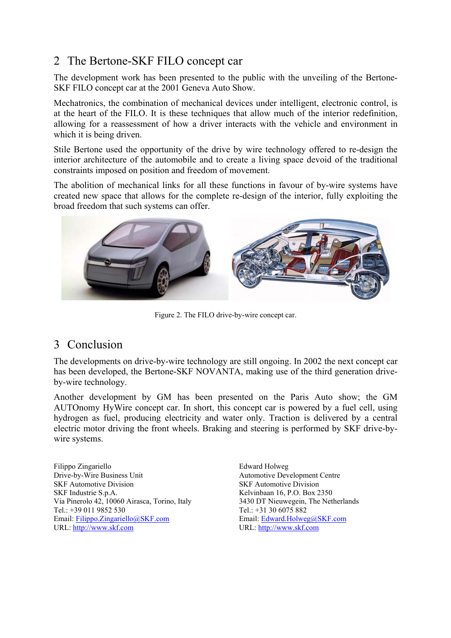# 2 The Bertone-SKF FILO concept car

The development work has been presented to the public with the unveiling of the Bertone-SKF FILO concept car at the 2001 Geneva Auto Show.

Mechatronics, the combination of mechanical devices under intelligent, electronic control, is at the heart of the FILO. It is these techniques that allow much of the interior redefinition, allowing for a reassessment of how a driver interacts with the vehicle and environment in which it is being driven.

Stile Bertone used the opportunity of the drive by wire technology offered to re-design the interior architecture of the automobile and to create a living space devoid of the traditional constraints imposed on position and freedom of movement.

The abolition of mechanical links for all these functions in favour of by-wire systems have created new space that allows for the complete re-design of the interior, fully exploiting the broad freedom that such systems can offer.



Figure 2. The FILO drive-by-wire concept car.

## 3 Conclusion

The developments on drive-by-wire technology are still ongoing. In 2002 the next concept car has been developed, the Bertone-SKF NOVANTA, making use of the third generation driveby-wire technology.

Another development by GM has been presented on the Paris Auto show; the GM AUTOnomy HyWire concept car. In short, this concept car is powered by a fuel cell, using hydrogen as fuel, producing electricity and water only. Traction is delivered by a central electric motor driving the front wheels. Braking and steering is performed by SKF drive-bywire systems.

Filippo Zingariello Drive-by-Wire Business Unit SKF Automotive Division SKF Industrie S.p.A. Via Pinerolo 42, 10060 Airasca, Torino, Italy Tel.: +39 011 9852 530 Email: Filippo.Zingariello@SKF.com URL: http://www.skf.com

Edward Holweg Automotive Development Centre SKF Automotive Division Kelvinbaan 16, P.O. Box 2350 3430 DT Nieuwegein, The Netherlands Tel.: +31 30 6075 882 Email: Edward.Holweg@SKF.com URL: http://www.skf.com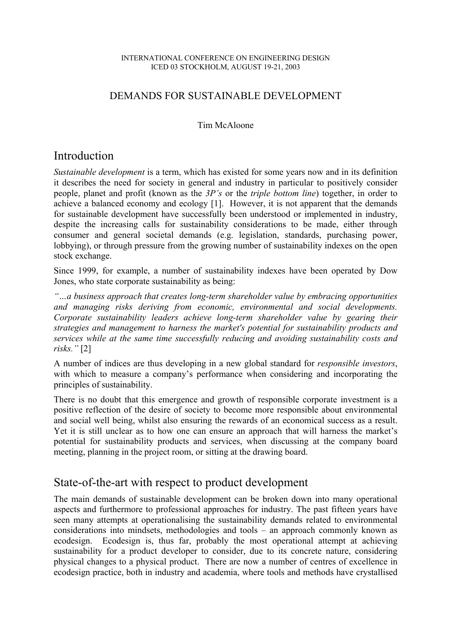## DEMANDS FOR SUSTAINABLE DEVELOPMENT

#### Tim McAloone

## Introduction

*Sustainable development* is a term, which has existed for some years now and in its definition it describes the need for society in general and industry in particular to positively consider people, planet and profit (known as the *3P's* or the *triple bottom line*) together, in order to achieve a balanced economy and ecology [1]. However, it is not apparent that the demands for sustainable development have successfully been understood or implemented in industry, despite the increasing calls for sustainability considerations to be made, either through consumer and general societal demands (e.g. legislation, standards, purchasing power, lobbying), or through pressure from the growing number of sustainability indexes on the open stock exchange.

Since 1999, for example, a number of sustainability indexes have been operated by Dow Jones, who state corporate sustainability as being:

*"…a business approach that creates long-term shareholder value by embracing opportunities and managing risks deriving from economic, environmental and social developments. Corporate sustainability leaders achieve long-term shareholder value by gearing their strategies and management to harness the market's potential for sustainability products and services while at the same time successfully reducing and avoiding sustainability costs and risks."* [2]

A number of indices are thus developing in a new global standard for *responsible investors*, with which to measure a company's performance when considering and incorporating the principles of sustainability.

There is no doubt that this emergence and growth of responsible corporate investment is a positive reflection of the desire of society to become more responsible about environmental and social well being, whilst also ensuring the rewards of an economical success as a result. Yet it is still unclear as to how one can ensure an approach that will harness the market's potential for sustainability products and services, when discussing at the company board meeting, planning in the project room, or sitting at the drawing board.

## State-of-the-art with respect to product development

The main demands of sustainable development can be broken down into many operational aspects and furthermore to professional approaches for industry. The past fifteen years have seen many attempts at operationalising the sustainability demands related to environmental considerations into mindsets, methodologies and tools – an approach commonly known as ecodesign. Ecodesign is, thus far, probably the most operational attempt at achieving sustainability for a product developer to consider, due to its concrete nature, considering physical changes to a physical product. There are now a number of centres of excellence in ecodesign practice, both in industry and academia, where tools and methods have crystallised